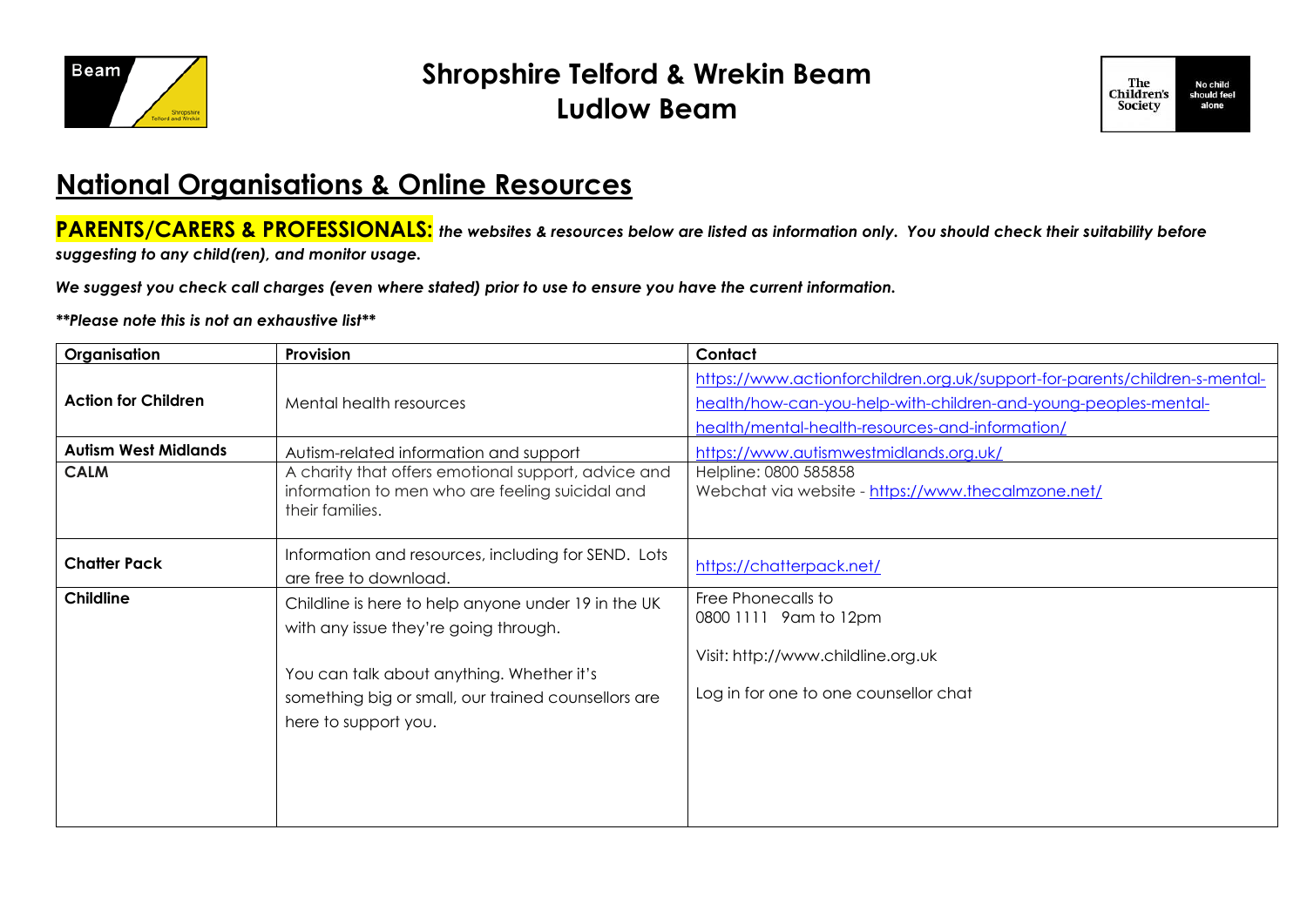

## **Shropshire Telford & Wrekin Beam Ludlow Beam**



## **National Organisations & Online Resources**

**PARENTS/CARERS & PROFESSIONALS:** *the websites & resources below are listed as information only. You should check their suitability before* 

*suggesting to any child(ren), and monitor usage.*

*We suggest you check call charges (even where stated) prior to use to ensure you have the current information.*

## *\*\*Please note this is not an exhaustive list\*\**

| Organisation                | Provision                                                                                                                                                                                                                | Contact                                                                                                                                                                                           |
|-----------------------------|--------------------------------------------------------------------------------------------------------------------------------------------------------------------------------------------------------------------------|---------------------------------------------------------------------------------------------------------------------------------------------------------------------------------------------------|
| <b>Action for Children</b>  | Mental health resources                                                                                                                                                                                                  | https://www.actionforchildren.org.uk/support-for-parents/children-s-mental-<br>health/how-can-you-help-with-children-and-young-peoples-mental-<br>health/mental-health-resources-and-information/ |
| <b>Autism West Midlands</b> | Autism-related information and support                                                                                                                                                                                   | https://www.autismwestmidlands.org.uk/                                                                                                                                                            |
| <b>CALM</b>                 | A charity that offers emotional support, advice and<br>information to men who are feeling suicidal and<br>their families.                                                                                                | Helpline: 0800 585858<br>Webchat via website - https://www.thecalmzone.net/                                                                                                                       |
| <b>Chatter Pack</b>         | Information and resources, including for SEND. Lots<br>are free to download.                                                                                                                                             | https://chatterpack.net/                                                                                                                                                                          |
| <b>Childline</b>            | Childline is here to help anyone under 19 in the UK<br>with any issue they're going through.<br>You can talk about anything. Whether it's<br>something big or small, our trained counsellors are<br>here to support you. | Free Phonecalls to<br>0800 1111 9am to 12pm<br>Visit: http://www.childline.org.uk<br>Log in for one to one counsellor chat                                                                        |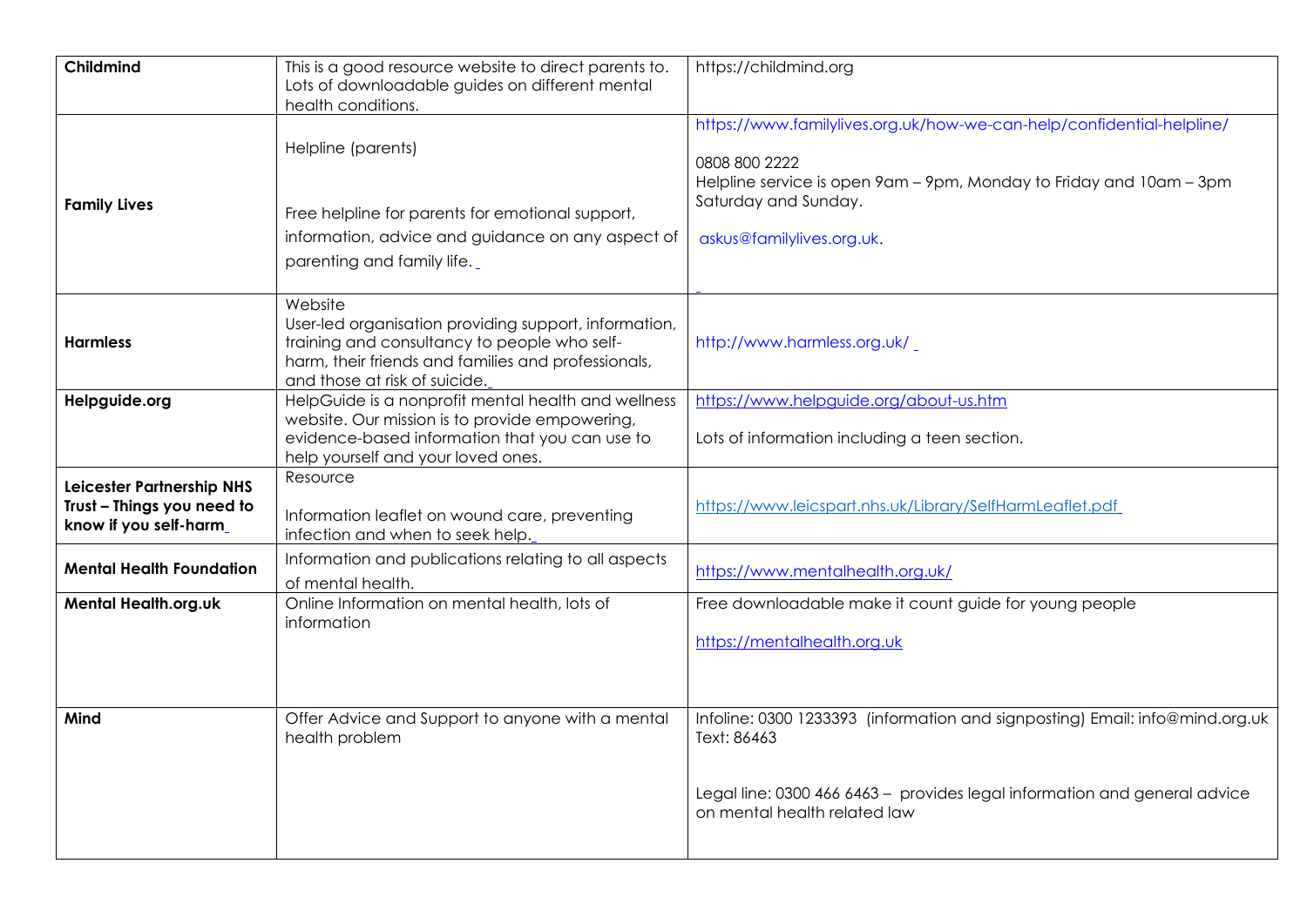| Childmind                                                                         | This is a good resource website to direct parents to.<br>Lots of downloadable guides on different mental<br>health conditions.                                                                           | https://childmind.org                                                                                                                                                                                              |
|-----------------------------------------------------------------------------------|----------------------------------------------------------------------------------------------------------------------------------------------------------------------------------------------------------|--------------------------------------------------------------------------------------------------------------------------------------------------------------------------------------------------------------------|
| <b>Family Lives</b>                                                               | Helpline (parents)<br>Free helpline for parents for emotional support,<br>information, advice and guidance on any aspect of<br>parenting and family life.                                                | https://www.familylives.org.uk/how-we-can-help/confidential-helpline/<br>0808 800 2222<br>Helpline service is open 9am - 9pm, Monday to Friday and 10am - 3pm<br>Saturday and Sunday.<br>askus@familylives.org.uk. |
| <b>Harmless</b>                                                                   | Website<br>User-led organisation providing support, information,<br>training and consultancy to people who self-<br>harm, their friends and families and professionals,<br>and those at risk of suicide. | http://www.harmless.org.uk/                                                                                                                                                                                        |
| Helpguide.org                                                                     | HelpGuide is a nonprofit mental health and wellness<br>website. Our mission is to provide empowering,<br>evidence-based information that you can use to<br>help yourself and your loved ones.            | https://www.helpguide.org/about-us.htm<br>Lots of information including a teen section.                                                                                                                            |
| Leicester Partnership NHS<br>Trust - Things you need to<br>know if you self-harm_ | Resource<br>Information leaflet on wound care, preventing<br>infection and when to seek help.                                                                                                            | https://www.leicspart.nhs.uk/Library/SelfHarmLeaflet.pdf                                                                                                                                                           |
| <b>Mental Health Foundation</b>                                                   | Information and publications relating to all aspects<br>of mental health.                                                                                                                                | https://www.mentalhealth.org.uk/                                                                                                                                                                                   |
| Mental Health.org.uk                                                              | Online Information on mental health, lots of<br>information                                                                                                                                              | Free downloadable make it count guide for young people<br>https://mentalhealth.org.uk                                                                                                                              |
| Mind                                                                              | Offer Advice and Support to anyone with a mental<br>health problem                                                                                                                                       | Infoline: 0300 1233393 (information and signposting) Email: info@mind.org.uk<br>Text: 86463<br>Legal line: 0300 466 6463 - provides legal information and general advice<br>on mental health related law           |
|                                                                                   |                                                                                                                                                                                                          |                                                                                                                                                                                                                    |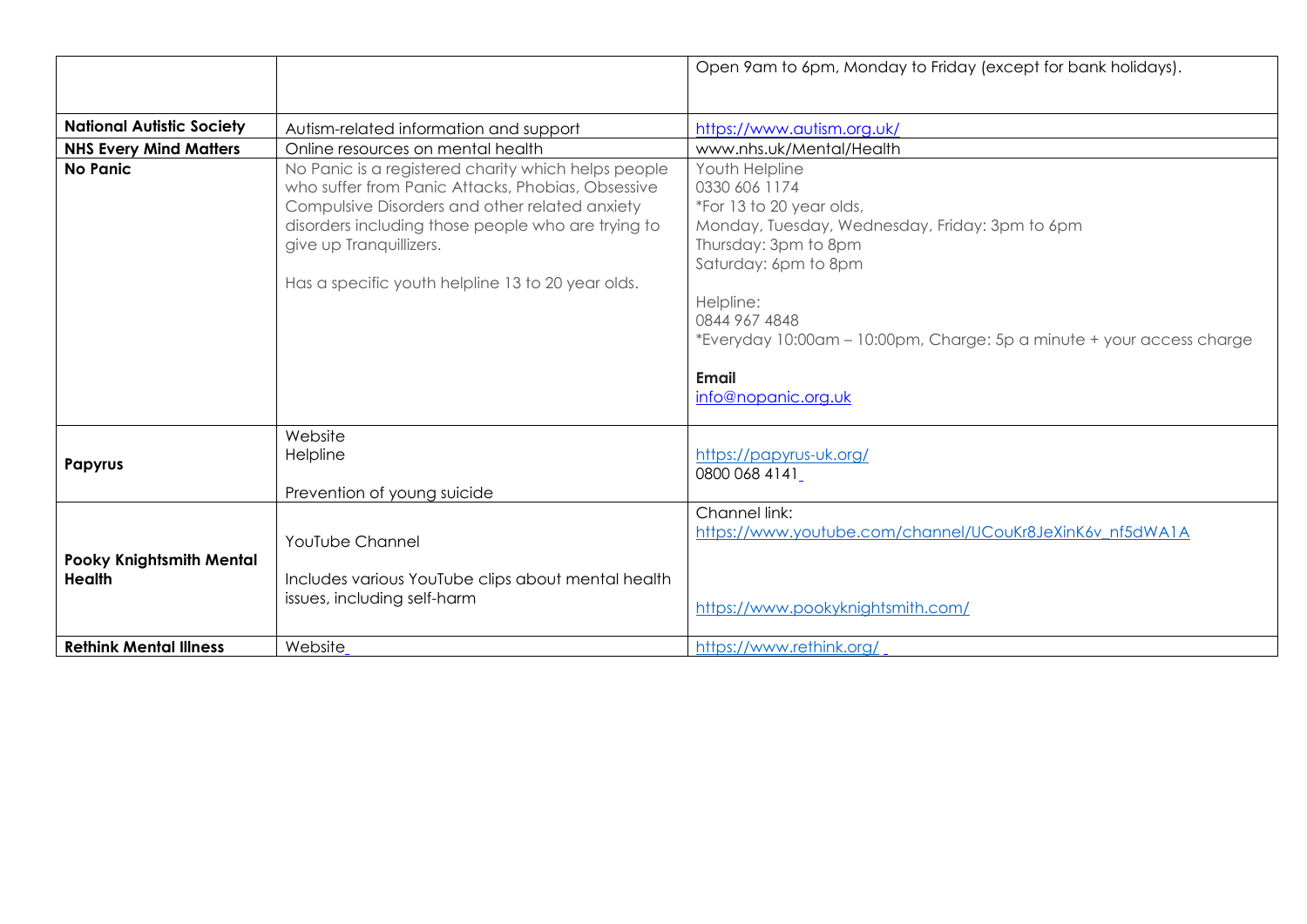|                                                  |                                                                                                                                                                                                                                                                                                  | Open 9am to 6pm, Monday to Friday (except for bank holidays).                                                                                                                                                                                                                                        |
|--------------------------------------------------|--------------------------------------------------------------------------------------------------------------------------------------------------------------------------------------------------------------------------------------------------------------------------------------------------|------------------------------------------------------------------------------------------------------------------------------------------------------------------------------------------------------------------------------------------------------------------------------------------------------|
| <b>National Autistic Society</b>                 | Autism-related information and support                                                                                                                                                                                                                                                           | https://www.autism.org.uk/                                                                                                                                                                                                                                                                           |
| <b>NHS Every Mind Matters</b>                    | Online resources on mental health                                                                                                                                                                                                                                                                | www.nhs.uk/Mental/Health                                                                                                                                                                                                                                                                             |
| No Panic                                         | No Panic is a registered charity which helps people<br>who suffer from Panic Attacks, Phobias, Obsessive<br>Compulsive Disorders and other related anxiety<br>disorders including those people who are trying to<br>give up Tranquillizers.<br>Has a specific youth helpline 13 to 20 year olds. | Youth Helpline<br>0330 606 1174<br>*For 13 to 20 year olds,<br>Monday, Tuesday, Wednesday, Friday: 3pm to 6pm<br>Thursday: 3pm to 8pm<br>Saturday: 6pm to 8pm<br>Helpline:<br>0844 967 4848<br>*Everyday 10:00am - 10:00pm, Charge: 5p a minute + your access charge<br>Email<br>info@nopanic.org.uk |
| Papyrus                                          | Website<br>Helpline<br>Prevention of young suicide                                                                                                                                                                                                                                               | https://papyrus-uk.org/<br>0800 068 4141                                                                                                                                                                                                                                                             |
| <b>Pooky Knightsmith Mental</b><br><b>Health</b> | YouTube Channel<br>Includes various YouTube clips about mental health<br>issues, including self-harm                                                                                                                                                                                             | Channel link:<br>https://www.youtube.com/channel/UCouKr8JeXinK6v nf5dWA1A<br>https://www.pookyknightsmith.com/                                                                                                                                                                                       |
| <b>Rethink Mental Illness</b>                    | Website                                                                                                                                                                                                                                                                                          | https://www.rethink.org/                                                                                                                                                                                                                                                                             |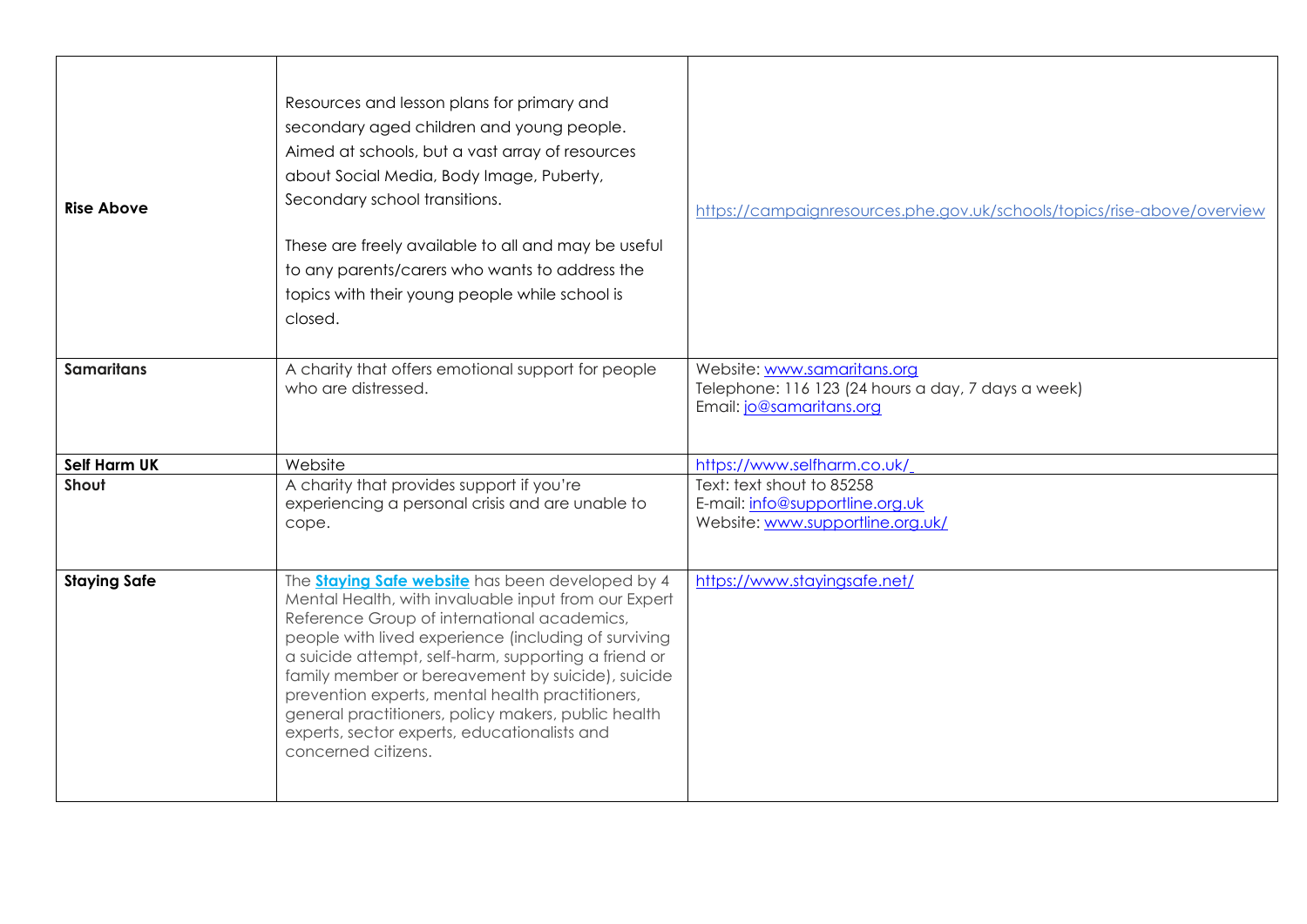| <b>Rise Above</b>   | Resources and lesson plans for primary and<br>secondary aged children and young people.<br>Aimed at schools, but a vast array of resources<br>about Social Media, Body Image, Puberty,<br>Secondary school transitions.<br>These are freely available to all and may be useful<br>to any parents/carers who wants to address the<br>topics with their young people while school is<br>closed.                                                                                                                         | https://campaignresources.phe.gov.uk/schools/topics/rise-above/overview                                       |
|---------------------|-----------------------------------------------------------------------------------------------------------------------------------------------------------------------------------------------------------------------------------------------------------------------------------------------------------------------------------------------------------------------------------------------------------------------------------------------------------------------------------------------------------------------|---------------------------------------------------------------------------------------------------------------|
| <b>Samaritans</b>   | A charity that offers emotional support for people<br>who are distressed.                                                                                                                                                                                                                                                                                                                                                                                                                                             | Website: www.samaritans.org<br>Telephone: 116 123 (24 hours a day, 7 days a week)<br>Email: jo@samaritans.org |
| Self Harm UK        | Website                                                                                                                                                                                                                                                                                                                                                                                                                                                                                                               | https://www.selfharm.co.uk/                                                                                   |
| Shout               | A charity that provides support if you're<br>experiencing a personal crisis and are unable to<br>cope.                                                                                                                                                                                                                                                                                                                                                                                                                | Text: text shout to 85258<br>E-mail: info@supportline.org.uk<br>Website: www.supportline.org.uk/              |
| <b>Staying Safe</b> | The <b>Staying Safe website</b> has been developed by 4<br>Mental Health, with invaluable input from our Expert<br>Reference Group of international academics,<br>people with lived experience (including of surviving<br>a suicide attempt, self-harm, supporting a friend or<br>family member or bereavement by suicide), suicide<br>prevention experts, mental health practitioners,<br>general practitioners, policy makers, public health<br>experts, sector experts, educationalists and<br>concerned citizens. | https://www.stayingsafe.net/                                                                                  |